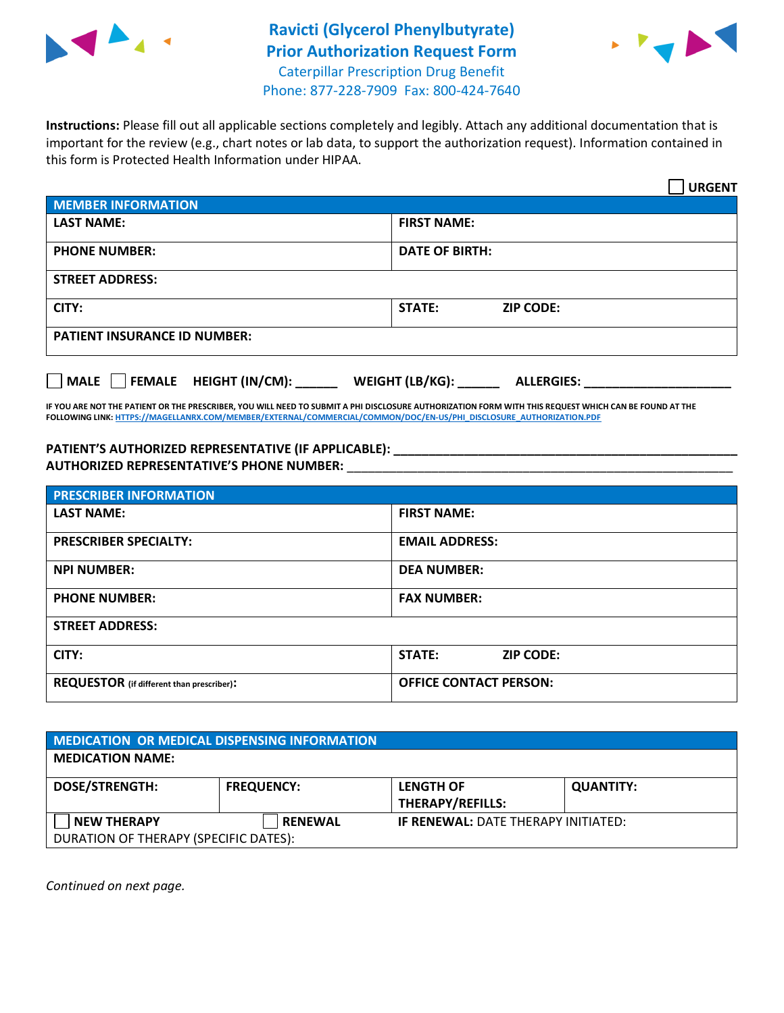

## **Ravicti (Glycerol Phenylbutyrate) Prior Authorization Request Form** Caterpillar Prescription Drug Benefit



Phone: 877-228-7909 Fax: 800-424-7640

**Instructions:** Please fill out all applicable sections completely and legibly. Attach any additional documentation that is important for the review (e.g., chart notes or lab data, to support the authorization request). Information contained in this form is Protected Health Information under HIPAA.

|                                       | <b>URGENT</b>                        |  |  |  |
|---------------------------------------|--------------------------------------|--|--|--|
| <b>MEMBER INFORMATION</b>             |                                      |  |  |  |
| <b>LAST NAME:</b>                     | <b>FIRST NAME:</b>                   |  |  |  |
| <b>PHONE NUMBER:</b>                  | <b>DATE OF BIRTH:</b>                |  |  |  |
| <b>STREET ADDRESS:</b>                |                                      |  |  |  |
| CITY:                                 | STATE:<br><b>ZIP CODE:</b>           |  |  |  |
| <b>PATIENT INSURANCE ID NUMBER:</b>   |                                      |  |  |  |
| FEMALE HEIGHT (IN/CM):<br><b>MALE</b> | WEIGHT (LB/KG):<br><b>ALLERGIES:</b> |  |  |  |

**IF YOU ARE NOT THE PATIENT OR THE PRESCRIBER, YOU WILL NEED TO SUBMIT A PHI DISCLOSURE AUTHORIZATION FORM WITH THIS REQUEST WHICH CAN BE FOUND AT THE FOLLOWING LINK[: HTTPS://MAGELLANRX.COM/MEMBER/EXTERNAL/COMMERCIAL/COMMON/DOC/EN-US/PHI\\_DISCLOSURE\\_AUTHORIZATION.PDF](https://magellanrx.com/member/external/commercial/common/doc/en-us/PHI_Disclosure_Authorization.pdf)**

**PATIENT'S AUTHORIZED REPRESENTATIVE (IF APPLICABLE): \_\_\_\_\_\_\_\_\_\_\_\_\_\_\_\_\_\_\_\_\_\_\_\_\_\_\_\_\_\_\_\_\_\_\_\_\_\_\_\_\_\_\_\_\_\_\_\_\_ AUTHORIZED REPRESENTATIVE'S PHONE NUMBER:** \_\_\_\_\_\_\_\_\_\_\_\_\_\_\_\_\_\_\_\_\_\_\_\_\_\_\_\_\_\_\_\_\_\_\_\_\_\_\_\_\_\_\_\_\_\_\_\_\_\_\_\_\_\_\_

| <b>PRESCRIBER INFORMATION</b>             |                               |  |  |
|-------------------------------------------|-------------------------------|--|--|
| <b>LAST NAME:</b>                         | <b>FIRST NAME:</b>            |  |  |
| <b>PRESCRIBER SPECIALTY:</b>              | <b>EMAIL ADDRESS:</b>         |  |  |
| <b>NPI NUMBER:</b>                        | <b>DEA NUMBER:</b>            |  |  |
| <b>PHONE NUMBER:</b>                      | <b>FAX NUMBER:</b>            |  |  |
| <b>STREET ADDRESS:</b>                    |                               |  |  |
| CITY:                                     | STATE:<br><b>ZIP CODE:</b>    |  |  |
| REQUESTOR (if different than prescriber): | <b>OFFICE CONTACT PERSON:</b> |  |  |

| MEDICATION OR MEDICAL DISPENSING INFORMATION                |                   |                                             |                  |  |  |
|-------------------------------------------------------------|-------------------|---------------------------------------------|------------------|--|--|
| <b>MEDICATION NAME:</b>                                     |                   |                                             |                  |  |  |
| <b>DOSE/STRENGTH:</b>                                       | <b>FREQUENCY:</b> | <b>LENGTH OF</b><br><b>THERAPY/REFILLS:</b> | <b>QUANTITY:</b> |  |  |
| <b>NEW THERAPY</b><br>DURATION OF THERAPY (SPECIFIC DATES): | <b>RENEWAL</b>    | <b>IF RENEWAL: DATE THERAPY INITIATED:</b>  |                  |  |  |

*Continued on next page.*